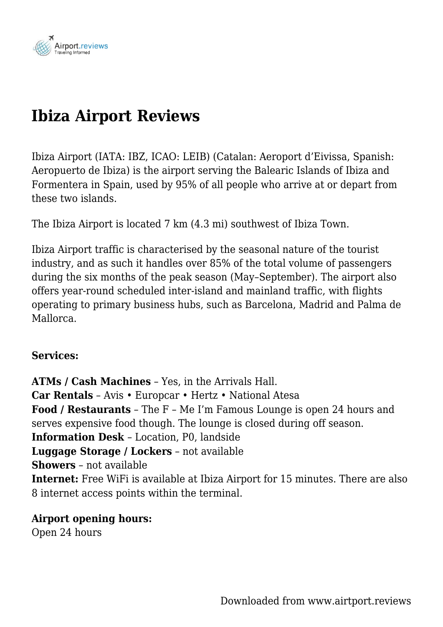

## **Ibiza Airport Reviews**

Ibiza Airport (IATA: IBZ, ICAO: LEIB) (Catalan: Aeroport d'Eivissa, Spanish: Aeropuerto de Ibiza) is the airport serving the Balearic Islands of Ibiza and Formentera in Spain, used by 95% of all people who arrive at or depart from these two islands.

The Ibiza Airport is located 7 km (4.3 mi) southwest of Ibiza Town.

Ibiza Airport traffic is characterised by the seasonal nature of the tourist industry, and as such it handles over 85% of the total volume of passengers during the six months of the peak season (May–September). The airport also offers year-round scheduled inter-island and mainland traffic, with flights operating to primary business hubs, such as Barcelona, Madrid and Palma de Mallorca.

## **Services:**

**ATMs / Cash Machines** – Yes, in the Arrivals Hall. **Car Rentals** – Avis • Europcar • Hertz • National Atesa **Food / Restaurants** – The F – Me I'm Famous Lounge is open 24 hours and serves expensive food though. The lounge is closed during off season. **Information Desk** – Location, P0, landside **Luggage Storage / Lockers** – not available **Showers** – not available **Internet:** Free WiFi is available at Ibiza Airport for 15 minutes. There are also 8 internet access points within the terminal.

**Airport opening hours:** Open 24 hours